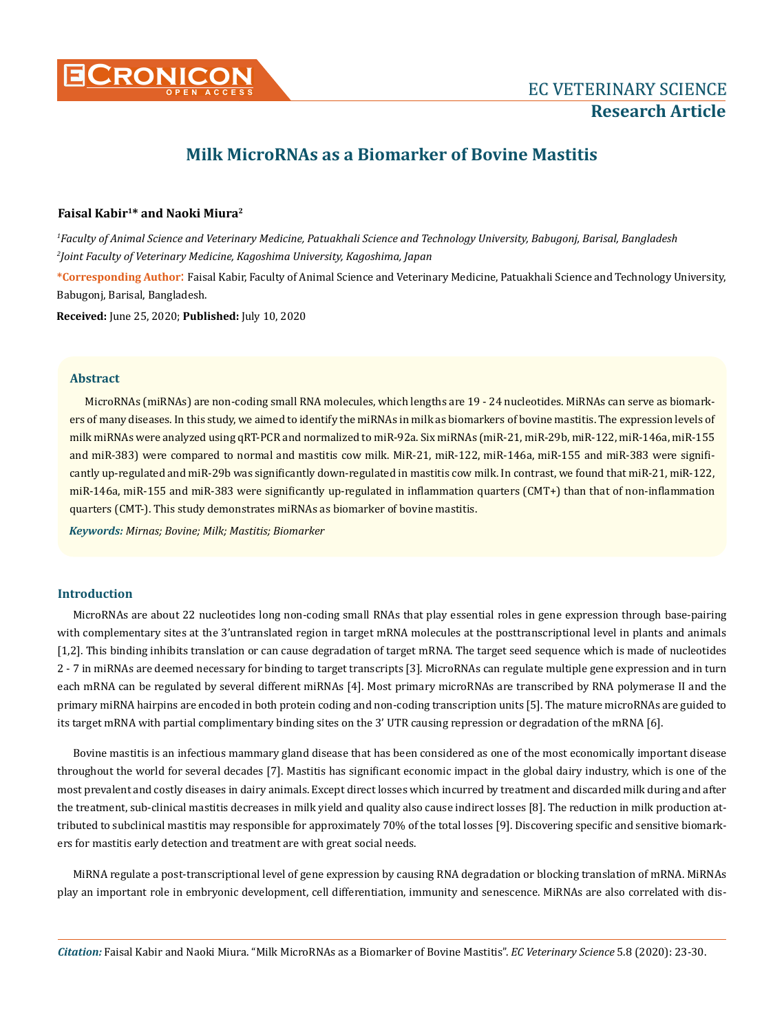

# **Milk MicroRNAs as a Biomarker of Bovine Mastitis**

# **Faisal Kabir1\* and Naoki Miura2**

*1 Faculty of Animal Science and Veterinary Medicine, Patuakhali Science and Technology University, Babugonj, Barisal, Bangladesh 2 Joint Faculty of Veterinary Medicine, Kagoshima University, Kagoshima, Japan*

**\*Corresponding Author**: Faisal Kabir, Faculty of Animal Science and Veterinary Medicine, Patuakhali Science and Technology University, Babugonj, Barisal, Bangladesh.

**Received:** June 25, 2020; **Published:** July 10, 2020

#### **Abstract**

MicroRNAs (miRNAs) are non-coding small RNA molecules, which lengths are 19 - 24 nucleotides. MiRNAs can serve as biomarkers of many diseases. In this study, we aimed to identify the miRNAs in milk as biomarkers of bovine mastitis. The expression levels of milk miRNAs were analyzed using qRT-PCR and normalized to miR-92a. Six miRNAs (miR-21, miR-29b, miR-122, miR-146a, miR-155 and miR-383) were compared to normal and mastitis cow milk. MiR-21, miR-122, miR-146a, miR-155 and miR-383 were significantly up-regulated and miR-29b was significantly down-regulated in mastitis cow milk. In contrast, we found that miR-21, miR-122, miR-146a, miR-155 and miR-383 were significantly up-regulated in inflammation quarters (CMT+) than that of non-inflammation quarters (CMT-). This study demonstrates miRNAs as biomarker of bovine mastitis.

*Keywords: Mirnas; Bovine; Milk; Mastitis; Biomarker*

#### **Introduction**

MicroRNAs are about 22 nucleotides long non-coding small RNAs that play essential roles in gene expression through base-pairing with complementary sites at the 3'untranslated region in target mRNA molecules at the posttranscriptional level in plants and animals [1,2]. This binding inhibits translation or can cause degradation of target mRNA. The target seed sequence which is made of nucleotides 2 - 7 in miRNAs are deemed necessary for binding to target transcripts [3]. MicroRNAs can regulate multiple gene expression and in turn each mRNA can be regulated by several different miRNAs [4]. Most primary microRNAs are transcribed by RNA polymerase II and the primary miRNA hairpins are encoded in both protein coding and non-coding transcription units [5]. The mature microRNAs are guided to its target mRNA with partial complimentary binding sites on the 3' UTR causing repression or degradation of the mRNA [6].

Bovine mastitis is an infectious mammary gland disease that has been considered as one of the most economically important disease throughout the world for several decades [7]. Mastitis has significant economic impact in the global dairy industry, which is one of the most prevalent and costly diseases in dairy animals. Except direct losses which incurred by treatment and discarded milk during and after the treatment, sub-clinical mastitis decreases in milk yield and quality also cause indirect losses [8]. The reduction in milk production attributed to subclinical mastitis may responsible for approximately 70% of the total losses [9]. Discovering specific and sensitive biomarkers for mastitis early detection and treatment are with great social needs.

MiRNA regulate a post-transcriptional level of gene expression by causing RNA degradation or blocking translation of mRNA. MiRNAs play an important role in embryonic development, cell differentiation, immunity and senescence. MiRNAs are also correlated with dis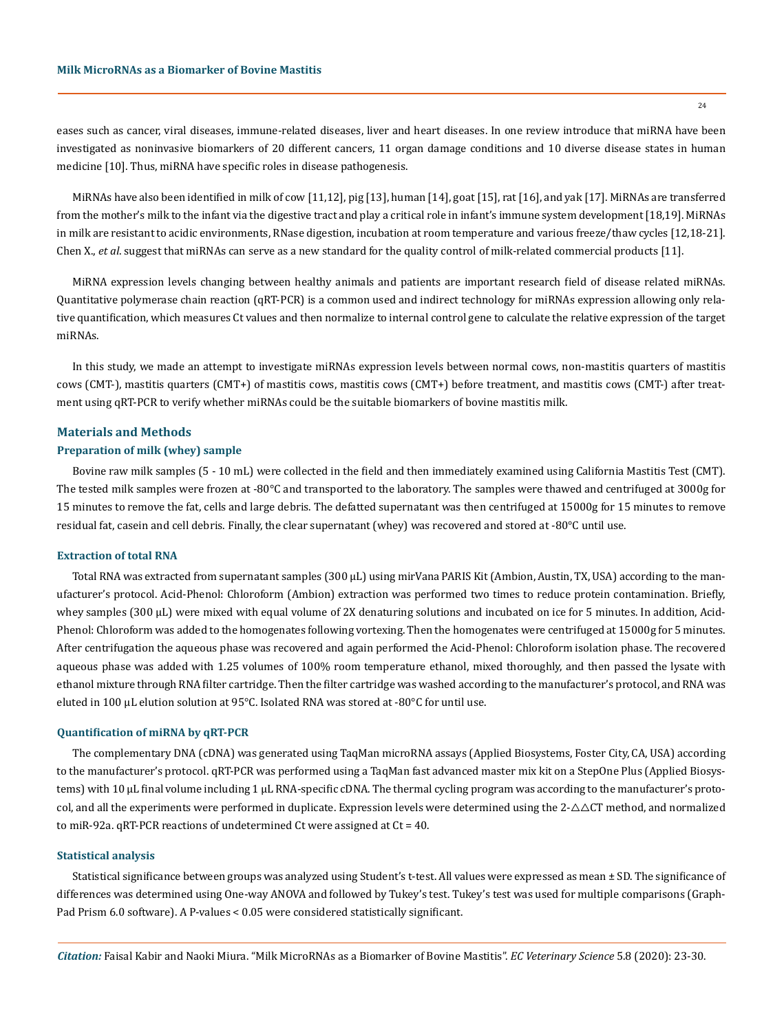eases such as cancer, viral diseases, immune-related diseases, liver and heart diseases. In one review introduce that miRNA have been investigated as noninvasive biomarkers of 20 different cancers, 11 organ damage conditions and 10 diverse disease states in human medicine [10]. Thus, miRNA have specific roles in disease pathogenesis.

MiRNAs have also been identified in milk of cow [11,12], pig [13], human [14], goat [15], rat [16], and yak [17]. MiRNAs are transferred from the mother's milk to the infant via the digestive tract and play a critical role in infant's immune system development [18,19]. MiRNAs in milk are resistant to acidic environments, RNase digestion, incubation at room temperature and various freeze/thaw cycles [12,18-21]. Chen X., *et al*. suggest that miRNAs can serve as a new standard for the quality control of milk-related commercial products [11].

MiRNA expression levels changing between healthy animals and patients are important research field of disease related miRNAs. Quantitative polymerase chain reaction (qRT-PCR) is a common used and indirect technology for miRNAs expression allowing only relative quantification, which measures Ct values and then normalize to internal control gene to calculate the relative expression of the target miRNAs.

In this study, we made an attempt to investigate miRNAs expression levels between normal cows, non-mastitis quarters of mastitis cows (CMT-), mastitis quarters (CMT+) of mastitis cows, mastitis cows (CMT+) before treatment, and mastitis cows (CMT-) after treatment using qRT-PCR to verify whether miRNAs could be the suitable biomarkers of bovine mastitis milk.

#### **Materials and Methods**

# **Preparation of milk (whey) sample**

Bovine raw milk samples (5 - 10 mL) were collected in the field and then immediately examined using California Mastitis Test (CMT). The tested milk samples were frozen at -80°C and transported to the laboratory. The samples were thawed and centrifuged at 3000g for 15 minutes to remove the fat, cells and large debris. The defatted supernatant was then centrifuged at 15000g for 15 minutes to remove residual fat, casein and cell debris. Finally, the clear supernatant (whey) was recovered and stored at -80°C until use.

#### **Extraction of total RNA**

Total RNA was extracted from supernatant samples (300 μL) using mirVana PARIS Kit (Ambion, Austin, TX, USA) according to the manufacturer's protocol. Acid-Phenol: Chloroform (Ambion) extraction was performed two times to reduce protein contamination. Briefly, whey samples (300 μL) were mixed with equal volume of 2X denaturing solutions and incubated on ice for 5 minutes. In addition, Acid-Phenol: Chloroform was added to the homogenates following vortexing. Then the homogenates were centrifuged at 15000g for 5 minutes. After centrifugation the aqueous phase was recovered and again performed the Acid-Phenol: Chloroform isolation phase. The recovered aqueous phase was added with 1.25 volumes of 100% room temperature ethanol, mixed thoroughly, and then passed the lysate with ethanol mixture through RNA filter cartridge. Then the filter cartridge was washed according to the manufacturer's protocol, and RNA was eluted in 100 μL elution solution at 95°C. Isolated RNA was stored at -80°C for until use.

#### **Quantification of miRNA by qRT-PCR**

The complementary DNA (cDNA) was generated using TaqMan microRNA assays (Applied Biosystems, Foster City, CA, USA) according to the manufacturer's protocol. qRT-PCR was performed using a TaqMan fast advanced master mix kit on a StepOne Plus (Applied Biosystems) with 10 μL final volume including 1 μL RNA-specific cDNA. The thermal cycling program was according to the manufacturer's protocol, and all the experiments were performed in duplicate. Expression levels were determined using the  $2-\Delta\Delta CT$  method, and normalized to miR-92a. qRT-PCR reactions of undetermined Ct were assigned at Ct = 40.

#### **Statistical analysis**

Statistical significance between groups was analyzed using Student's t-test. All values were expressed as mean ± SD. The significance of differences was determined using One-way ANOVA and followed by Tukey's test. Tukey's test was used for multiple comparisons (Graph-Pad Prism 6.0 software). A P-values < 0.05 were considered statistically significant.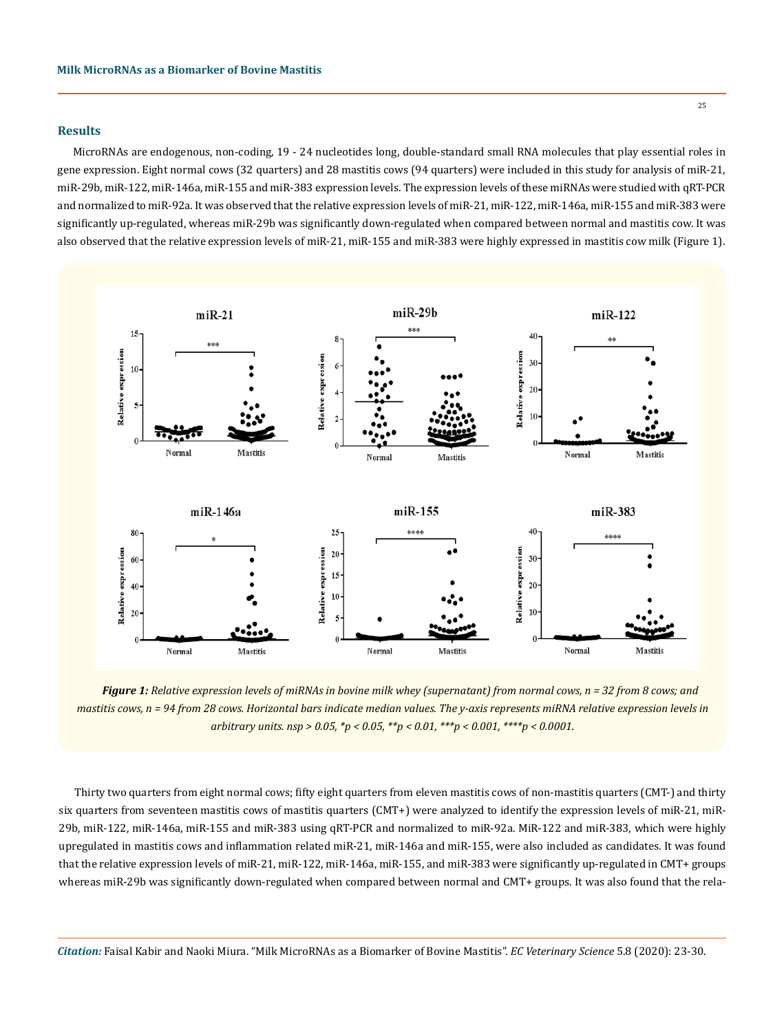# **Results**

MicroRNAs are endogenous, non-coding, 19 - 24 nucleotides long, double-standard small RNA molecules that play essential roles in gene expression. Eight normal cows (32 quarters) and 28 mastitis cows (94 quarters) were included in this study for analysis of miR-21, miR-29b, miR-122, miR-146a, miR-155 and miR-383 expression levels. The expression levels of these miRNAs were studied with qRT-PCR and normalized to miR-92a. It was observed that the relative expression levels of miR-21, miR-122, miR-146a, miR-155 and miR-383 were significantly up-regulated, whereas miR-29b was significantly down-regulated when compared between normal and mastitis cow. It was also observed that the relative expression levels of miR-21, miR-155 and miR-383 were highly expressed in mastitis cow milk (Figure 1).



*Figure 1: Relative expression levels of miRNAs in bovine milk whey (supernatant) from normal cows, n = 32 from 8 cows; and mastitis cows, n = 94 from 28 cows. Horizontal bars indicate median values. The y-axis represents miRNA relative expression levels in arbitrary units. nsp > 0.05, \*p < 0.05, \*\*p < 0.01, \*\*\*p < 0.001, \*\*\*\*p < 0.0001.*

Thirty two quarters from eight normal cows; fifty eight quarters from eleven mastitis cows of non-mastitis quarters (CMT-) and thirty six quarters from seventeen mastitis cows of mastitis quarters (CMT+) were analyzed to identify the expression levels of miR-21, miR-29b, miR-122, miR-146a, miR-155 and miR-383 using qRT-PCR and normalized to miR-92a. MiR-122 and miR-383, which were highly upregulated in mastitis cows and inflammation related miR-21, miR-146a and miR-155, were also included as candidates. It was found that the relative expression levels of miR-21, miR-122, miR-146a, miR-155, and miR-383 were significantly up-regulated in CMT+ groups whereas miR-29b was significantly down-regulated when compared between normal and CMT+ groups. It was also found that the rela-

*Citation:* Faisal Kabir and Naoki Miura. "Milk MicroRNAs as a Biomarker of Bovine Mastitis". *EC Veterinary Science* 5.8 (2020): 23-30.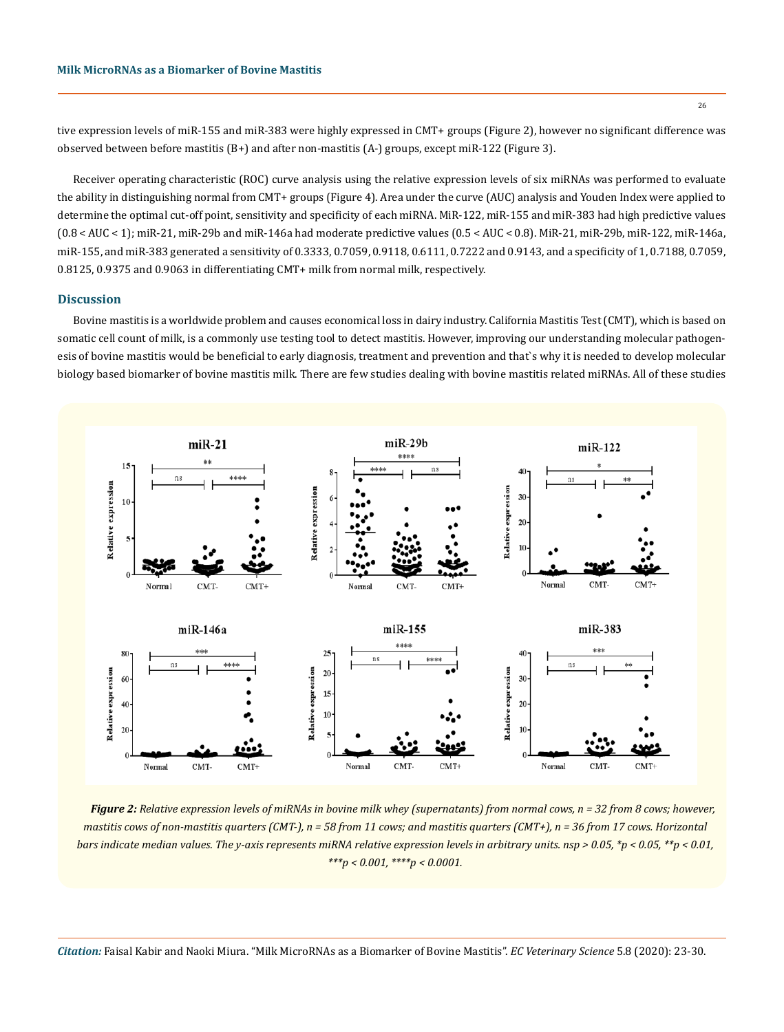tive expression levels of miR-155 and miR-383 were highly expressed in CMT+ groups (Figure 2), however no significant difference was observed between before mastitis (B+) and after non-mastitis (A-) groups, except miR-122 (Figure 3).

Receiver operating characteristic (ROC) curve analysis using the relative expression levels of six miRNAs was performed to evaluate the ability in distinguishing normal from CMT+ groups (Figure 4). Area under the curve (AUC) analysis and Youden Index were applied to determine the optimal cut-off point, sensitivity and specificity of each miRNA. MiR-122, miR-155 and miR-383 had high predictive values (0.8 < AUC < 1); miR-21, miR-29b and miR-146a had moderate predictive values (0.5 < AUC < 0.8). MiR-21, miR-29b, miR-122, miR-146a, miR-155, and miR-383 generated a sensitivity of 0.3333, 0.7059, 0.9118, 0.6111, 0.7222 and 0.9143, and a specificity of 1, 0.7188, 0.7059, 0.8125, 0.9375 and 0.9063 in differentiating CMT+ milk from normal milk, respectively.

### **Discussion**

Bovine mastitis is a worldwide problem and causes economical loss in dairy industry. California Mastitis Test (CMT), which is based on somatic cell count of milk, is a commonly use testing tool to detect mastitis. However, improving our understanding molecular pathogenesis of bovine mastitis would be beneficial to early diagnosis, treatment and prevention and that`s why it is needed to develop molecular biology based biomarker of bovine mastitis milk. There are few studies dealing with bovine mastitis related miRNAs. All of these studies



*Figure 2: Relative expression levels of miRNAs in bovine milk whey (supernatants) from normal cows, n = 32 from 8 cows; however, mastitis cows of non-mastitis quarters (CMT-), n = 58 from 11 cows; and mastitis quarters (CMT+), n = 36 from 17 cows. Horizontal bars indicate median values. The y-axis represents miRNA relative expression levels in arbitrary units. nsp > 0.05, \*p < 0.05, \*\*p < 0.01, \*\*\*p < 0.001, \*\*\*\*p < 0.0001.*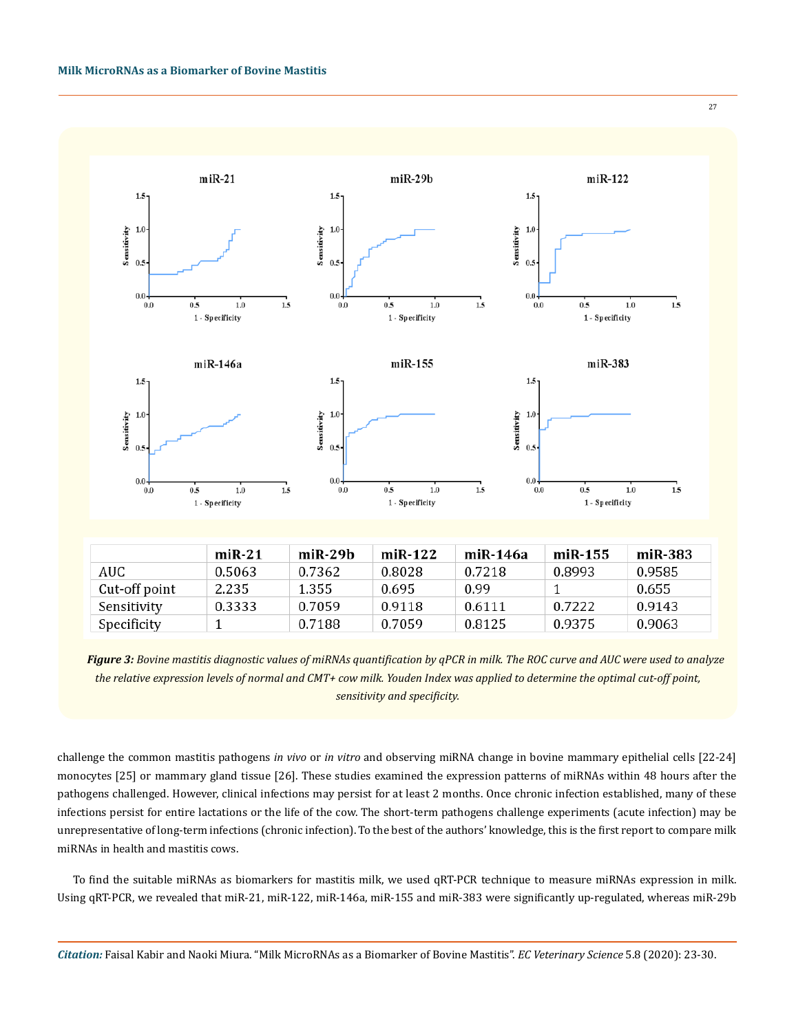

|               | $miR-21$ | $miR-29h$ | $miR-122$ | miR-146a | $miR-155$ | miR-383 |
|---------------|----------|-----------|-----------|----------|-----------|---------|
| AUC.          | 0.5063   | 0.7362    | 0.8028    | 0.7218   | 0.8993    | 0.9585  |
| Cut-off point | 2.235    | 1.355     | 0.695     | 0.99     |           | 0.655   |
| Sensitivity   | 0.3333   | 0.7059    | 0.9118    | 0.6111   | 0.7222    | 0.9143  |
| Specificity   |          | 0.7188    | 0.7059    | 0.8125   | 0.9375    | 0.9063  |

*Figure 3: Bovine mastitis diagnostic values of miRNAs quantification by qPCR in milk. The ROC curve and AUC were used to analyze the relative expression levels of normal and CMT+ cow milk. Youden Index was applied to determine the optimal cut-off point, sensitivity and specificity.*

challenge the common mastitis pathogens *in vivo* or *in vitro* and observing miRNA change in bovine mammary epithelial cells [22-24] monocytes [25] or mammary gland tissue [26]. These studies examined the expression patterns of miRNAs within 48 hours after the pathogens challenged. However, clinical infections may persist for at least 2 months. Once chronic infection established, many of these infections persist for entire lactations or the life of the cow. The short-term pathogens challenge experiments (acute infection) may be unrepresentative of long-term infections (chronic infection). To the best of the authors' knowledge, this is the first report to compare milk miRNAs in health and mastitis cows.

To find the suitable miRNAs as biomarkers for mastitis milk, we used qRT-PCR technique to measure miRNAs expression in milk. Using qRT-PCR, we revealed that miR-21, miR-122, miR-146a, miR-155 and miR-383 were significantly up-regulated, whereas miR-29b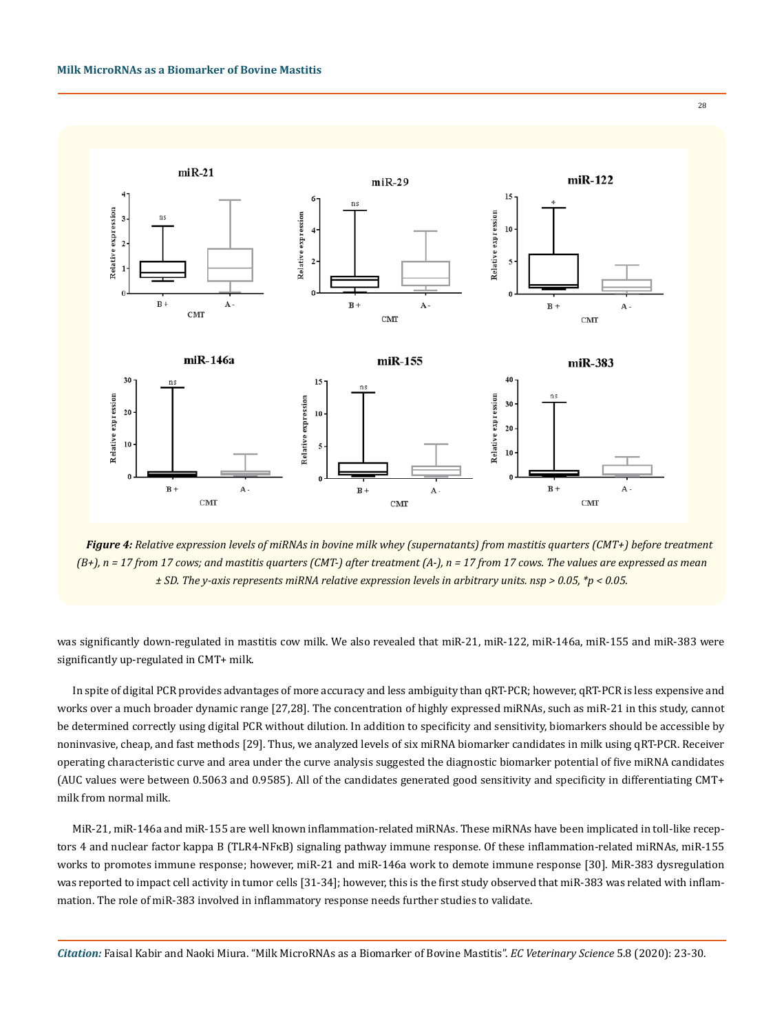

*Figure 4: Relative expression levels of miRNAs in bovine milk whey (supernatants) from mastitis quarters (CMT+) before treatment (B+), n = 17 from 17 cows; and mastitis quarters (CMT-) after treatment (A-), n = 17 from 17 cows. The values are expressed as mean ± SD. The y-axis represents miRNA relative expression levels in arbitrary units. nsp > 0.05, \*p < 0.05.*

was significantly down-regulated in mastitis cow milk. We also revealed that miR-21, miR-122, miR-146a, miR-155 and miR-383 were significantly up-regulated in CMT+ milk.

In spite of digital PCR provides advantages of more accuracy and less ambiguity than qRT-PCR; however, qRT-PCR is less expensive and works over a much broader dynamic range [27,28]. The concentration of highly expressed miRNAs, such as miR-21 in this study, cannot be determined correctly using digital PCR without dilution. In addition to specificity and sensitivity, biomarkers should be accessible by noninvasive, cheap, and fast methods [29]. Thus, we analyzed levels of six miRNA biomarker candidates in milk using qRT-PCR. Receiver operating characteristic curve and area under the curve analysis suggested the diagnostic biomarker potential of five miRNA candidates (AUC values were between 0.5063 and 0.9585). All of the candidates generated good sensitivity and specificity in differentiating CMT+ milk from normal milk.

MiR-21, miR-146a and miR-155 are well known inflammation-related miRNAs. These miRNAs have been implicated in toll-like receptors 4 and nuclear factor kappa B (TLR4-NFκB) signaling pathway immune response. Of these inflammation-related miRNAs, miR-155 works to promotes immune response; however, miR-21 and miR-146a work to demote immune response [30]. MiR-383 dysregulation was reported to impact cell activity in tumor cells [31-34]; however, this is the first study observed that miR-383 was related with inflammation. The role of miR-383 involved in inflammatory response needs further studies to validate.

*Citation:* Faisal Kabir and Naoki Miura. "Milk MicroRNAs as a Biomarker of Bovine Mastitis". *EC Veterinary Science* 5.8 (2020): 23-30.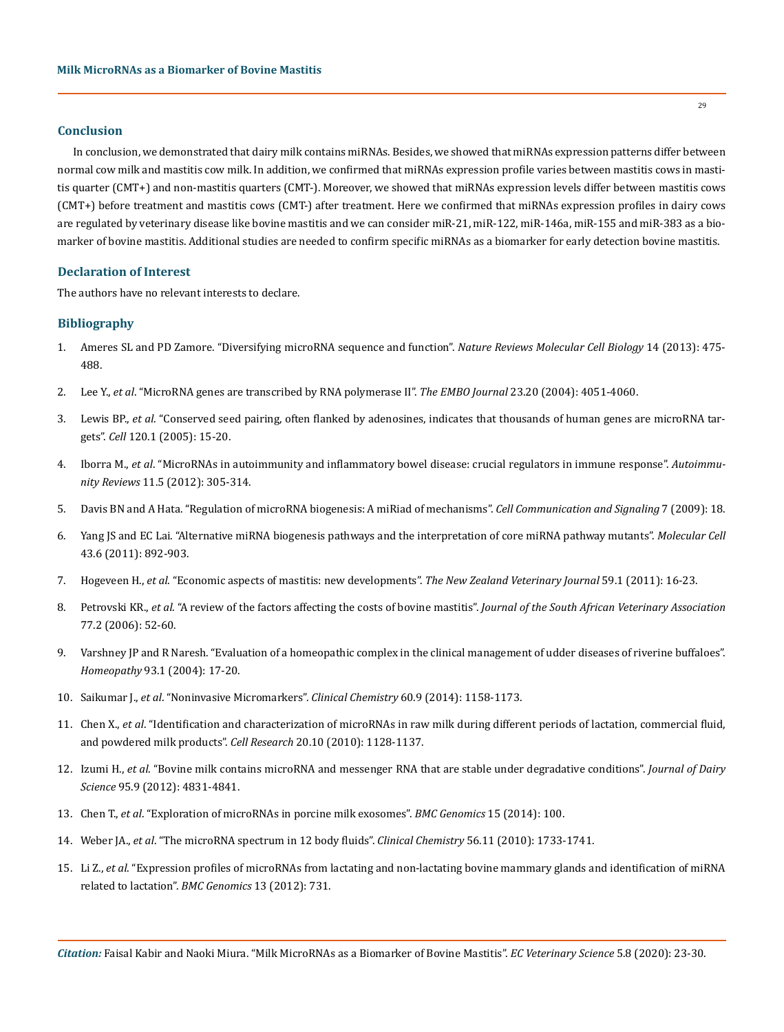# **Conclusion**

In conclusion, we demonstrated that dairy milk contains miRNAs. Besides, we showed that miRNAs expression patterns differ between normal cow milk and mastitis cow milk. In addition, we confirmed that miRNAs expression profile varies between mastitis cows in mastitis quarter (CMT+) and non-mastitis quarters (CMT-). Moreover, we showed that miRNAs expression levels differ between mastitis cows (CMT+) before treatment and mastitis cows (CMT-) after treatment. Here we confirmed that miRNAs expression profiles in dairy cows are regulated by veterinary disease like bovine mastitis and we can consider miR-21, miR-122, miR-146a, miR-155 and miR-383 as a biomarker of bovine mastitis. Additional studies are needed to confirm specific miRNAs as a biomarker for early detection bovine mastitis.

# **Declaration of Interest**

The authors have no relevant interests to declare.

## **Bibliography**

- 1. [Ameres SL and PD Zamore. "Diversifying microRNA sequence and function".](https://pubmed.ncbi.nlm.nih.gov/23800994/) *Nature Reviews Molecular Cell Biology* 14 (2013): 475- [488.](https://pubmed.ncbi.nlm.nih.gov/23800994/)
- 2. Lee Y., *et al*[. "MicroRNA genes are transcribed by RNA polymerase II".](https://pubmed.ncbi.nlm.nih.gov/15372072/) *The EMBO Journal* 23.20 (2004): 4051-4060.
- 3. Lewis BP., *et al*[. "Conserved seed pairing, often flanked by adenosines, indicates that thousands of human genes are microRNA tar](https://www.sciencedirect.com/science/article/pii/S0092867404012607)gets". *Cell* [120.1 \(2005\): 15-20.](https://www.sciencedirect.com/science/article/pii/S0092867404012607)
- 4. Iborra M., *et al*[. "MicroRNAs in autoimmunity and inflammatory bowel disease: crucial regulators in immune response".](https://pubmed.ncbi.nlm.nih.gov/20627134/) *Autoimmunity Reviews* [11.5 \(2012\): 305-314.](https://pubmed.ncbi.nlm.nih.gov/20627134/)
- 5. [Davis BN and A Hata. "Regulation of microRNA biogenesis: A miRiad of mechanisms".](https://biosignaling.biomedcentral.com/articles/10.1186/1478-811X-7-18) *Cell Communication and Signaling* 7 (2009): 18.
- 6. [Yang JS and EC Lai. "Alternative miRNA biogenesis pathways and the interpretation of core miRNA pathway mutants".](https://pubmed.ncbi.nlm.nih.gov/21925378/) *Molecular Cell*  [43.6 \(2011\): 892-903.](https://pubmed.ncbi.nlm.nih.gov/21925378/)
- 7. Hogeveen H., *et al*[. "Economic aspects of mastitis: new developments".](https://pubmed.ncbi.nlm.nih.gov/21328153/) *The New Zealand Veterinary Journal* 59.1 (2011): 16-23.
- 8. Petrovski KR., *et al*[. "A review of the factors affecting the costs of bovine mastitis".](https://pubmed.ncbi.nlm.nih.gov/17120619/) *Journal of the South African Veterinary Association*  [77.2 \(2006\): 52-60.](https://pubmed.ncbi.nlm.nih.gov/17120619/)
- 9. [Varshney JP and R Naresh. "Evaluation of a homeopathic complex in the clinical management of udder diseases of riverine buffaloes".](https://pubmed.ncbi.nlm.nih.gov/14960098/)  *Homeopathy* [93.1 \(2004\): 17-20.](https://pubmed.ncbi.nlm.nih.gov/14960098/)
- 10. Saikumar J., *et al*[. "Noninvasive Micromarkers".](https://pubmed.ncbi.nlm.nih.gov/24407912/) *Clinical Chemistry* 60.9 (2014): 1158-1173.
- 11. Chen X., *et al*[. "Identification and characterization of microRNAs in raw milk during different periods of lactation, commercial fluid,](https://pubmed.ncbi.nlm.nih.gov/20548333/)  [and powdered milk products".](https://pubmed.ncbi.nlm.nih.gov/20548333/) *Cell Research* 20.10 (2010): 1128-1137.
- 12. Izumi H., *et al*[. "Bovine milk contains microRNA and messenger RNA that are stable under degradative conditions".](https://pubmed.ncbi.nlm.nih.gov/22916887/) *Journal of Dairy Science* [95.9 \(2012\): 4831-4841.](https://pubmed.ncbi.nlm.nih.gov/22916887/)
- 13. Chen T., *et al*[. "Exploration of microRNAs in porcine milk exosomes".](https://pubmed.ncbi.nlm.nih.gov/24499489/) *BMC Genomics* 15 (2014): 100.
- 14. Weber JA., *et al*[. "The microRNA spectrum in 12 body fluids".](https://pubmed.ncbi.nlm.nih.gov/20847327/) *Clinical Chemistry* 56.11 (2010): 1733-1741.
- 15. Li Z., *et al*[. "Expression profiles of microRNAs from lactating and non-lactating bovine mammary glands and identification of miRNA](https://bmcgenomics.biomedcentral.com/articles/10.1186/1471-2164-13-731)  [related to lactation".](https://bmcgenomics.biomedcentral.com/articles/10.1186/1471-2164-13-731) *BMC Genomics* 13 (2012): 731.